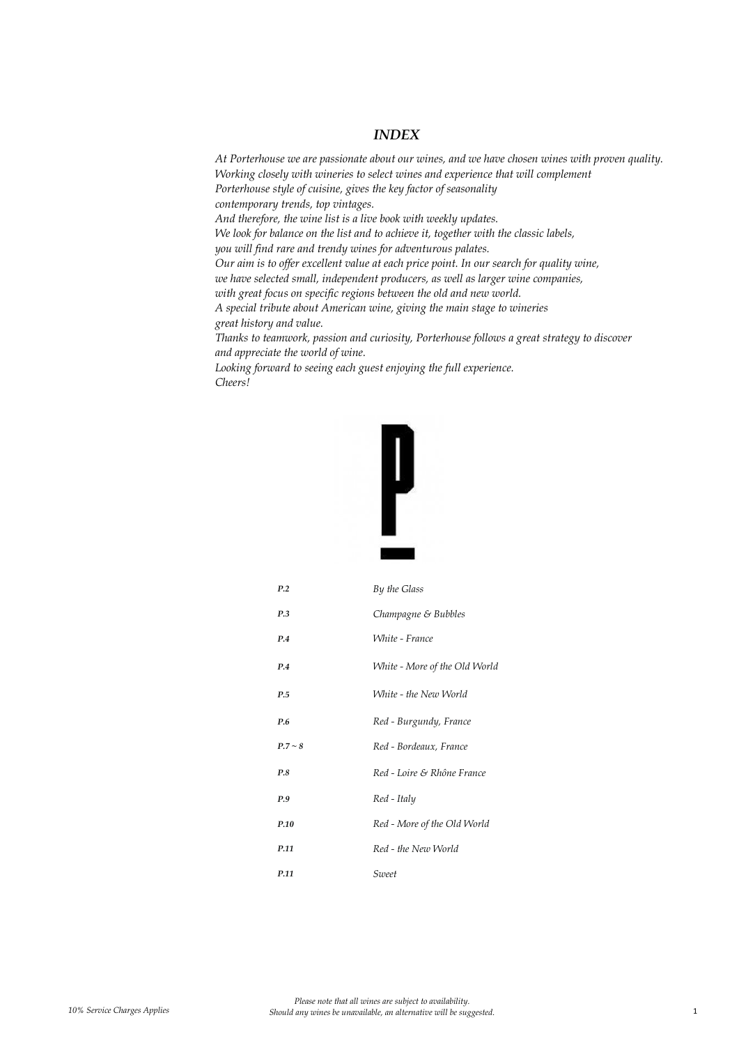#### *INDEX*

*At Porterhouse we are passionate about our wines, and we have chosen wines with proven quality. Working closely with wineries to select wines and experience that will complement Porterhouse style of cuisine, gives the key factor of seasonality contemporary trends, top vintages. And therefore, the wine list is a live book with weekly updates. We look for balance on the list and to achieve it, together with the classic labels, you will find rare and trendy wines for adventurous palates. Our aim is to offer excellent value at each price point. In our search for quality wine, we have selected small, independent producers, as well as larger wine companies, with great focus on specific regions between the old and new world. A special tribute about American wine, giving the main stage to wineries great history and value. Thanks to teamwork, passion and curiosity, Porterhouse follows a great strategy to discover and appreciate the world of wine. Looking forward to seeing each guest enjoying the full experience.*



*Cheers!*

| P.2       | By the Glass                  |
|-----------|-------------------------------|
| P.3       | Champagne & Bubbles           |
| P.4       | White - France                |
| P.4       | White - More of the Old World |
| P.5       | White - the New World         |
| P.6       | Red - Burgundy, France        |
| $P.7 - 8$ | Red - Bordeaux, France        |
| P.8       | Red - Loire & Rhône France    |
| P.9       | Red - Italy                   |
| P.10      | Red - More of the Old World   |
| P.11      | Red - the New World           |
| P.11      | Sweet                         |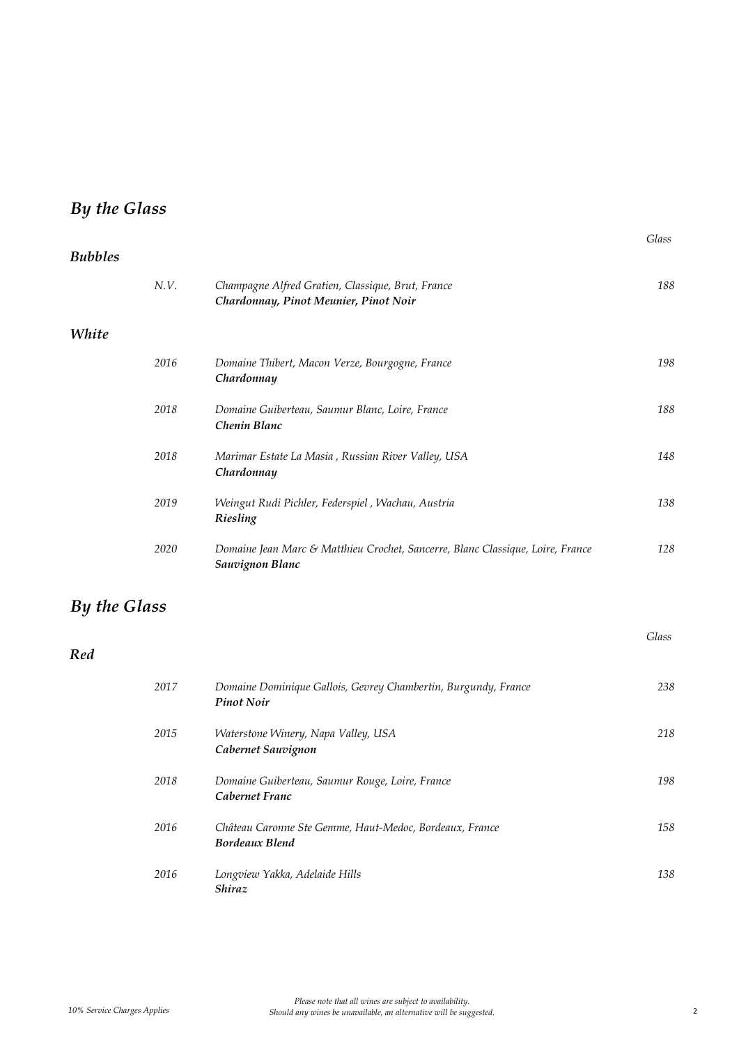# *By the Glass*

| <b>Bubbles</b> |      |                                                                                                   |       |
|----------------|------|---------------------------------------------------------------------------------------------------|-------|
|                | N.V. | Champagne Alfred Gratien, Classique, Brut, France<br>Chardonnay, Pinot Meunier, Pinot Noir        | 188   |
| White          |      |                                                                                                   |       |
|                | 2016 | Domaine Thibert, Macon Verze, Bourgogne, France<br>Chardonnay                                     | 198   |
|                | 2018 | Domaine Guiberteau, Saumur Blanc, Loire, France<br>Chenin Blanc                                   | 188   |
|                | 2018 | Marimar Estate La Masia, Russian River Valley, USA<br>Chardonnay                                  | 148   |
|                | 2019 | Weingut Rudi Pichler, Federspiel, Wachau, Austria<br>Riesling                                     | 138   |
|                | 2020 | Domaine Jean Marc & Matthieu Crochet, Sancerre, Blanc Classique, Loire, France<br>Sauvignon Blanc | 128   |
| By the Glass   |      |                                                                                                   |       |
| Red            |      |                                                                                                   | Glass |
|                | 2017 | Domaine Dominique Gallois, Gevrey Chambertin, Burgundy, France<br><b>Pinot Noir</b>               | 238   |
|                | 2015 | Waterstone Winery, Napa Valley, USA<br>Cabernet Sauvignon                                         | 218   |
|                | 2018 | Domaine Guiberteau, Saumur Rouge, Loire, France<br>Cabernet Franc                                 | 198   |
|                | 2016 | Château Caronne Ste Gemme, Haut-Medoc, Bordeaux, France<br><b>Bordeaux Blend</b>                  | 158   |
|                | 2016 | Longview Yakka, Adelaide Hills<br>Shiraz                                                          | 138   |

*Glass*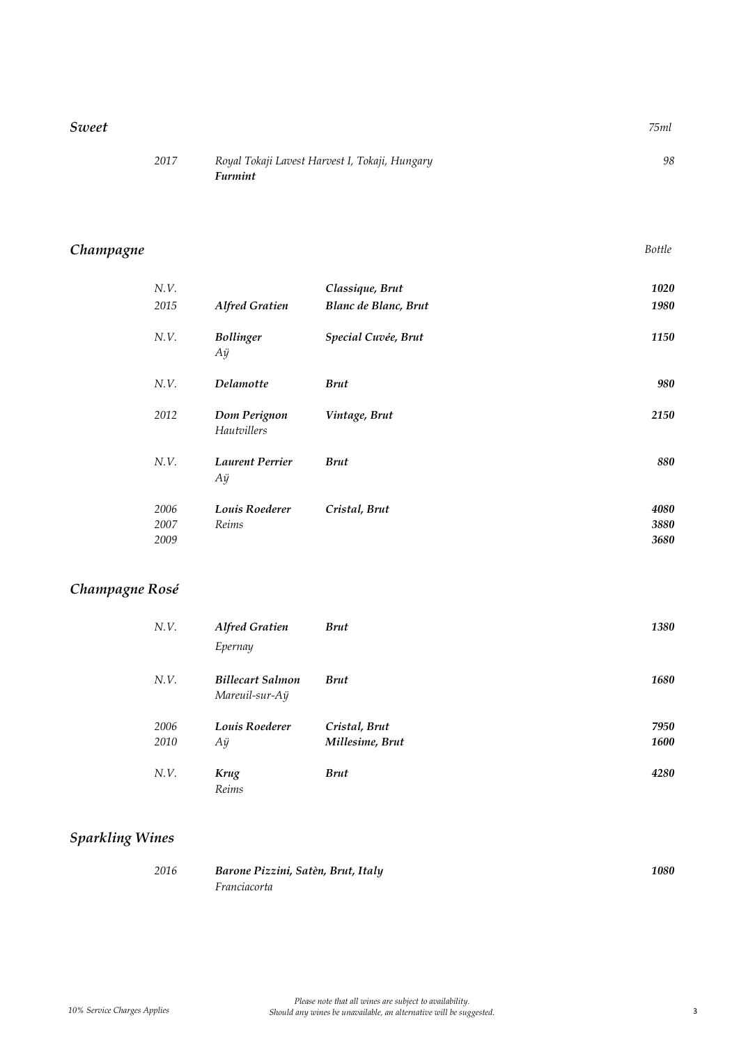#### *Sweet 75ml*

| 2017 | Royal Tokaji Lavest Harvest I, Tokaji, Hungary |  |
|------|------------------------------------------------|--|
|      | <i>Furmint</i>                                 |  |

## *Champagne Bottle*

| N.V.<br>2015         | <b>Alfred Gratien</b>              | Classique, Brut<br>Blanc de Blanc, Brut | 1020<br>1980         |
|----------------------|------------------------------------|-----------------------------------------|----------------------|
| N.V.                 | <b>Bollinger</b><br>Aÿ             | Special Cuvée, Brut                     | 1150                 |
| N.V.                 | <b>Delamotte</b>                   | <b>Brut</b>                             | 980                  |
| 2012                 | Dom Perignon<br><b>Hautvillers</b> | Vintage, Brut                           | 2150                 |
| N.V.                 | <b>Laurent Perrier</b><br>Aÿ       | <b>Brut</b>                             | 880                  |
| 2006<br>2007<br>2009 | Louis Roederer<br>Reims            | Cristal, Brut                           | 4080<br>3880<br>3680 |

## *Champagne Rosé*

| N.V. | <b>Alfred Gratien</b>                     | <b>Brut</b>     | 1380        |
|------|-------------------------------------------|-----------------|-------------|
|      | Epernay                                   |                 |             |
| N.V. | <b>Billecart Salmon</b><br>Mareuil-sur-Aÿ | <b>Brut</b>     | 1680        |
| 2006 | Louis Roederer                            | Cristal, Brut   | 7950        |
| 2010 | Аÿ                                        | Millesime, Brut | <b>1600</b> |
| N.V. | Krug<br>Reims                             | <b>Brut</b>     | 4280        |

## *Sparkling Wines*

| 2016 | Barone Pizzini, Satèn, Brut, Italy | 1080 |
|------|------------------------------------|------|
|      | Franciacorta                       |      |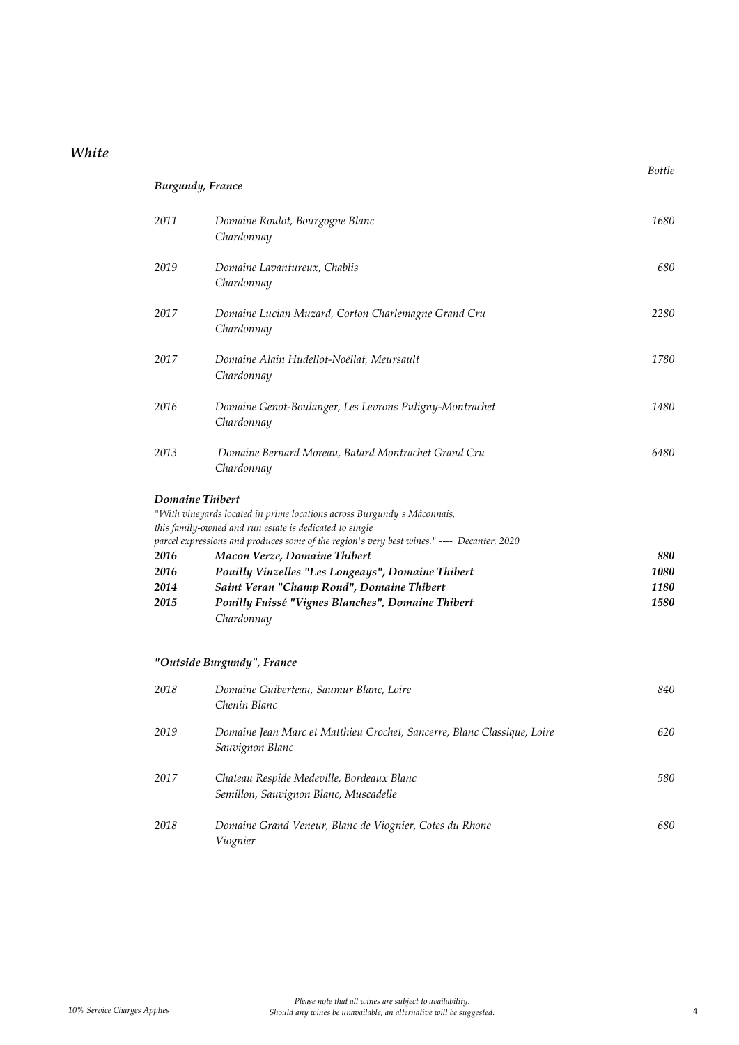## *White*

| <b>Burgundy</b> , France                        |                                                                                                                                                                                                                                                                                                                                                                                                                                       |                             |
|-------------------------------------------------|---------------------------------------------------------------------------------------------------------------------------------------------------------------------------------------------------------------------------------------------------------------------------------------------------------------------------------------------------------------------------------------------------------------------------------------|-----------------------------|
| 2011                                            | Domaine Roulot, Bourgogne Blanc<br>Chardonnay                                                                                                                                                                                                                                                                                                                                                                                         | 1680                        |
| 2019                                            | Domaine Lavantureux, Chablis<br>Chardonnay                                                                                                                                                                                                                                                                                                                                                                                            | 680                         |
| 2017                                            | Domaine Lucian Muzard, Corton Charlemagne Grand Cru<br>Chardonnay                                                                                                                                                                                                                                                                                                                                                                     | 2280                        |
| 2017                                            | Domaine Alain Hudellot-Noëllat, Meursault<br>Chardonnay                                                                                                                                                                                                                                                                                                                                                                               | 1780                        |
| 2016                                            | Domaine Genot-Boulanger, Les Levrons Puligny-Montrachet<br>Chardonnay                                                                                                                                                                                                                                                                                                                                                                 | 1480                        |
| 2013                                            | Domaine Bernard Moreau, Batard Montrachet Grand Cru<br>Chardonnay                                                                                                                                                                                                                                                                                                                                                                     | 6480                        |
| Domaine Thibert<br>2016<br>2016<br>2014<br>2015 | "With vineyards located in prime locations across Burgundy's Mâconnais,<br>this family-owned and run estate is dedicated to single<br>parcel expressions and produces some of the region's very best wines." ---- Decanter, 2020<br>Macon Verze, Domaine Thibert<br>Pouilly Vinzelles "Les Longeays", Domaine Thibert<br>Saint Veran "Champ Rond", Domaine Thibert<br>Pouilly Fuissé "Vignes Blanches", Domaine Thibert<br>Chardonnay | 880<br>1080<br>1180<br>1580 |
|                                                 | "Outside Burgundy", France                                                                                                                                                                                                                                                                                                                                                                                                            |                             |
| 2018                                            | Domaine Guiberteau, Saumur Blanc, Loire<br>Chenin Blanc                                                                                                                                                                                                                                                                                                                                                                               | 840                         |
| 2019                                            | Domaine Jean Marc et Matthieu Crochet, Sancerre, Blanc Classique, Loire<br>Sauvignon Blanc                                                                                                                                                                                                                                                                                                                                            | 620                         |
| 2017                                            | Chateau Respide Medeville, Bordeaux Blanc<br>Semillon, Sauvignon Blanc, Muscadelle                                                                                                                                                                                                                                                                                                                                                    | 580                         |
| 2018                                            | Domaine Grand Veneur, Blanc de Viognier, Cotes du Rhone<br>Viognier                                                                                                                                                                                                                                                                                                                                                                   | 680                         |

*Bottle*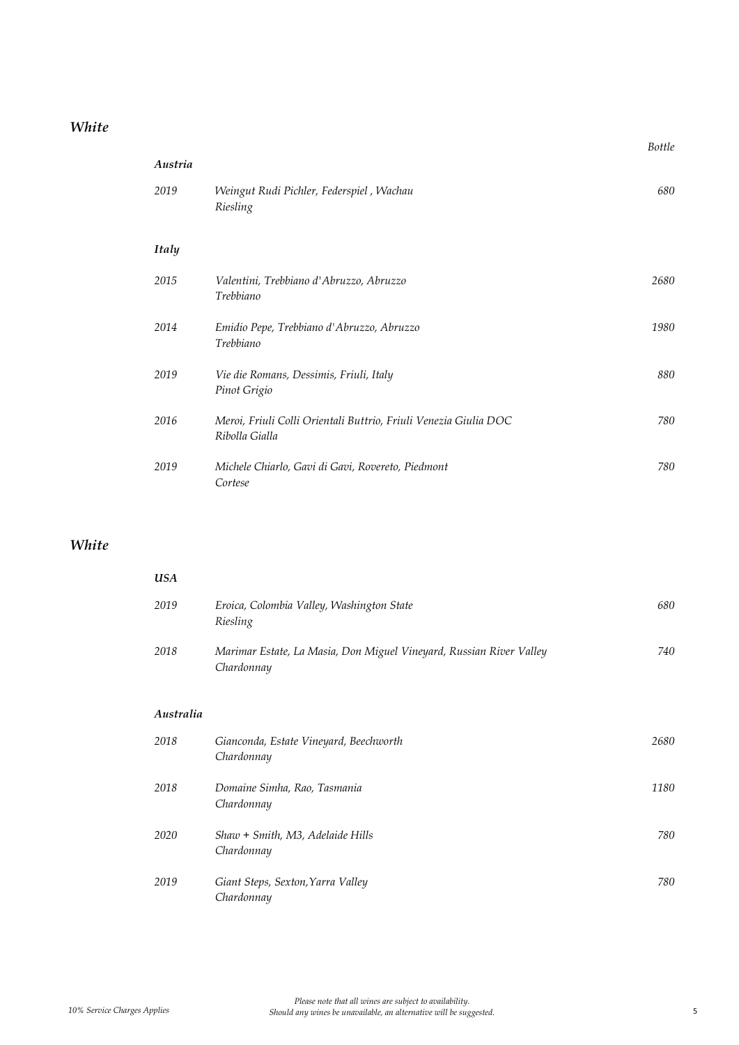### *White*

|              |                                                                                    | <b>Bottle</b> |
|--------------|------------------------------------------------------------------------------------|---------------|
| Austria      |                                                                                    |               |
| 2019         | Weingut Rudi Pichler, Federspiel, Wachau<br>Riesling                               | 680           |
| <b>Italy</b> |                                                                                    |               |
| 2015         | Valentini, Trebbiano d'Abruzzo, Abruzzo<br>Trebbiano                               | 2680          |
| 2014         | Emidio Pepe, Trebbiano d'Abruzzo, Abruzzo<br>Trebbiano                             | 1980          |
| 2019         | Vie die Romans, Dessimis, Friuli, Italy<br>Pinot Grigio                            | 880           |
| 2016         | Meroi, Friuli Colli Orientali Buttrio, Friuli Venezia Giulia DOC<br>Ribolla Gialla | 780           |
| 2019         | Michele Chiarlo, Gavi di Gavi, Rovereto, Piedmont<br>Cortese                       | 780           |

## *White*

| USA  |                                                                                   |     |
|------|-----------------------------------------------------------------------------------|-----|
| 2019 | Eroica, Colombia Valley, Washington State<br>Riesling                             | 680 |
| 2018 | Marimar Estate, La Masia, Don Miguel Vineyard, Russian River Valley<br>Chardonnay | 740 |

#### *Australia*

| 2018 | Gianconda, Estate Vineyard, Beechworth<br>Chardonnay | 2680 |
|------|------------------------------------------------------|------|
| 2018 | Domaine Simha, Rao, Tasmania<br>Chardonnay           | 1180 |
| 2020 | Shaw + Smith, M3, Adelaide Hills<br>Chardonnay       | 780  |
| 2019 | Giant Steps, Sexton, Yarra Valley<br>Chardonnay      | 780  |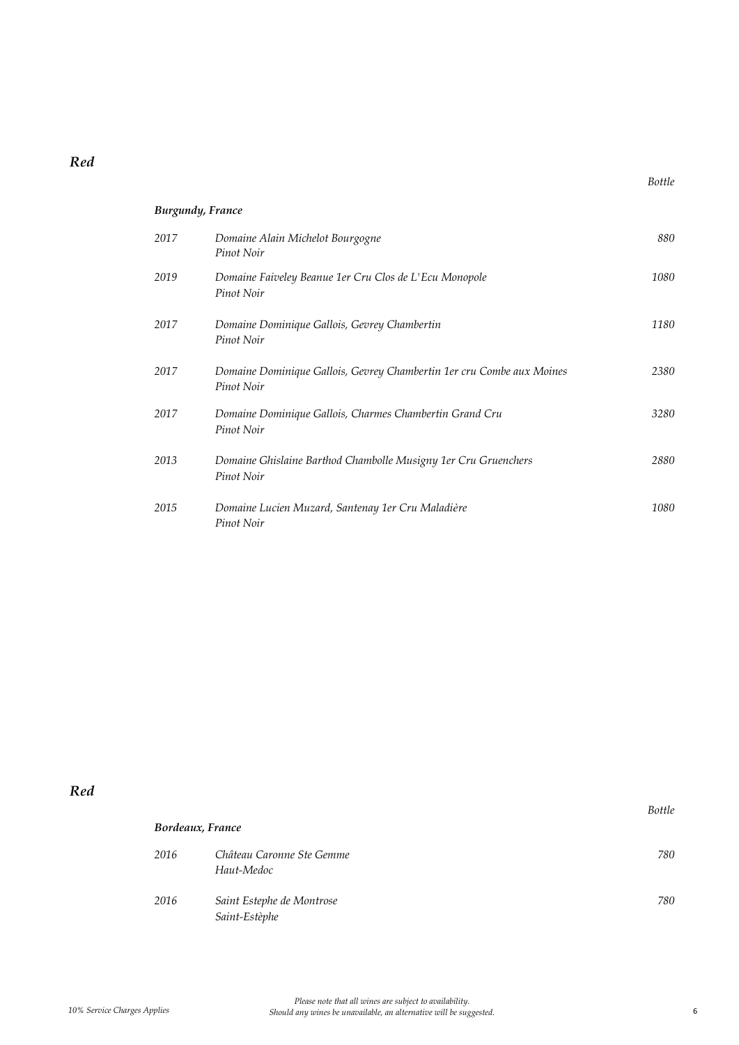| <b>Burgundy, France</b> |                                                                                     |      |
|-------------------------|-------------------------------------------------------------------------------------|------|
| 2017                    | Domaine Alain Michelot Bourgogne<br>Pinot Noir                                      | 880  |
| 2019                    | Domaine Faiveley Beanue 1er Cru Clos de L'Ecu Monopole<br>Pinot Noir                | 1080 |
| 2017                    | Domaine Dominique Gallois, Gevrey Chambertin<br>Pinot Noir                          | 1180 |
| 2017                    | Domaine Dominique Gallois, Gevrey Chambertin 1er cru Combe aux Moines<br>Pinot Noir | 2380 |
| 2017                    | Domaine Dominique Gallois, Charmes Chambertin Grand Cru<br>Pinot Noir               | 3280 |
| 2013                    | Domaine Ghislaine Barthod Chambolle Musigny 1er Cru Gruenchers<br>Pinot Noir        | 2880 |
| 2015                    | Domaine Lucien Muzard, Santenay 1er Cru Maladière<br>Pinot Noir                     | 1080 |

|      | Bordeaux, France                           | <b>Bottle</b> |
|------|--------------------------------------------|---------------|
| 2016 | Château Caronne Ste Gemme<br>Haut-Medoc    | 780           |
| 2016 | Saint Estephe de Montrose<br>Saint-Estèphe | 780           |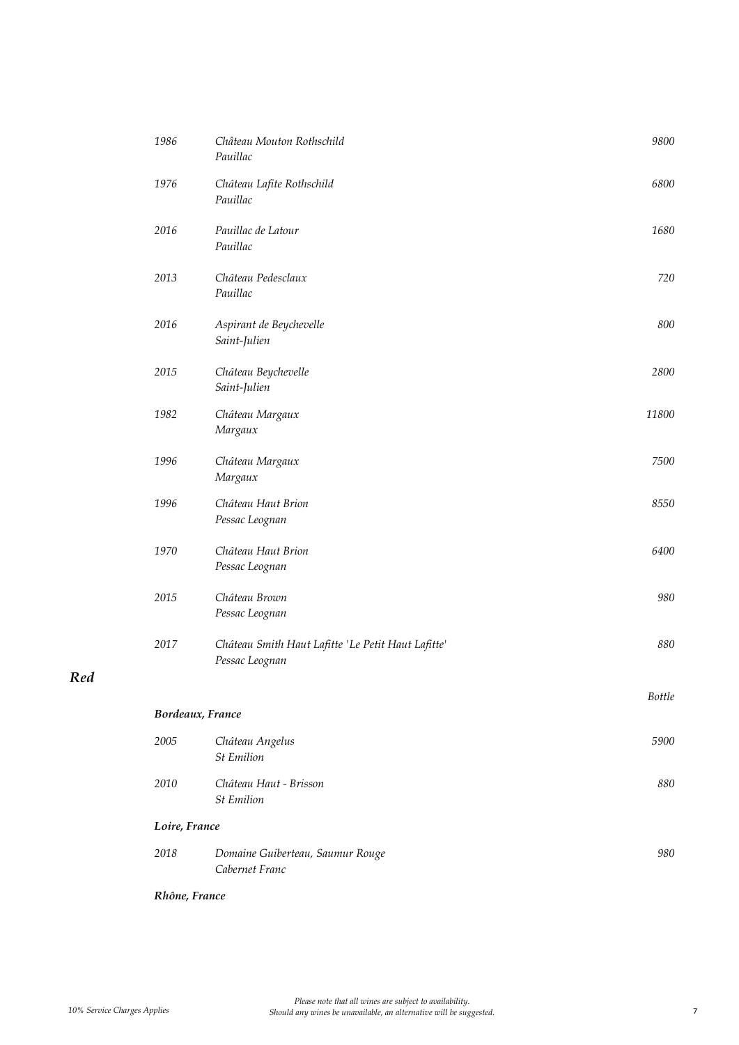| 1986             | Château Mouton Rothschild<br>Pauillac                                | 9800          |
|------------------|----------------------------------------------------------------------|---------------|
| 1976             | Château Lafite Rothschild<br>Pauillac                                | 6800          |
| 2016             | Pauillac de Latour<br>Pauillac                                       | 1680          |
| 2013             | Château Pedesclaux<br>Pauillac                                       | 720           |
| 2016             | Aspirant de Beychevelle<br>Saint-Julien                              | 800           |
| 2015             | Château Beychevelle<br>Saint-Julien                                  | 2800          |
| 1982             | Château Margaux<br>Margaux                                           | 11800         |
| 1996             | Château Margaux<br>Margaux                                           | 7500          |
| 1996             | Château Haut Brion<br>Pessac Leognan                                 | 8550          |
| 1970             | Château Haut Brion<br>Pessac Leognan                                 | 6400          |
| 2015             | Château Brown<br>Pessac Leognan                                      | 980           |
| 2017             | Château Smith Haut Lafitte 'Le Petit Haut Lafitte'<br>Pessac Leognan | 880           |
|                  |                                                                      | <b>Bottle</b> |
| Bordeaux, France |                                                                      |               |
| 2005             | Château Angelus<br><b>St Emilion</b>                                 | 5900          |
| 2010             | Château Haut - Brisson<br><b>St Emilion</b>                          | 880           |
| Loire, France    |                                                                      |               |
| 2018             | Domaine Guiberteau, Saumur Rouge<br>Cabernet Franc                   | 980           |

#### *Rhône, France*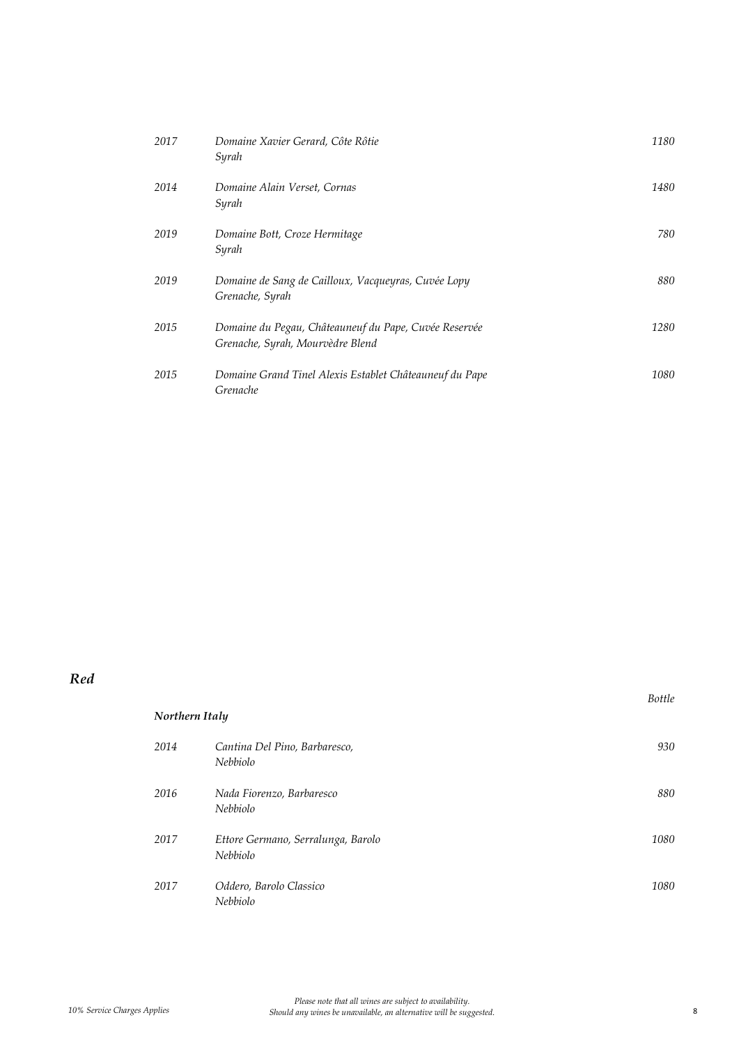| 2017 | Domaine Xavier Gerard, Côte Rôtie<br>Syrah                                                | 1180 |
|------|-------------------------------------------------------------------------------------------|------|
| 2014 | Domaine Alain Verset, Cornas<br>Syrah                                                     | 1480 |
| 2019 | Domaine Bott, Croze Hermitage<br>Syrah                                                    | 780  |
| 2019 | Domaine de Sang de Cailloux, Vacqueyras, Cuvée Lopy<br>Grenache, Syrah                    | 880  |
| 2015 | Domaine du Pegau, Châteauneuf du Pape, Cuvée Reservée<br>Grenache, Syrah, Mourvèdre Blend | 1280 |
| 2015 | Domaine Grand Tinel Alexis Establet Châteauneuf du Pape<br>Grenache                       | 1080 |

| Northern Italy |                                                  | <b>Bottle</b> |
|----------------|--------------------------------------------------|---------------|
| 2014           | Cantina Del Pino, Barbaresco,<br><i>Nebbiolo</i> | 930           |
| 2016           | Nada Fiorenzo, Barbaresco<br>Nebbiolo            | 880           |
| 2017           | Ettore Germano, Serralunga, Barolo<br>Nebbiolo   | 1080          |
| 2017           | Oddero, Barolo Classico<br>Nebbiolo              | 1080          |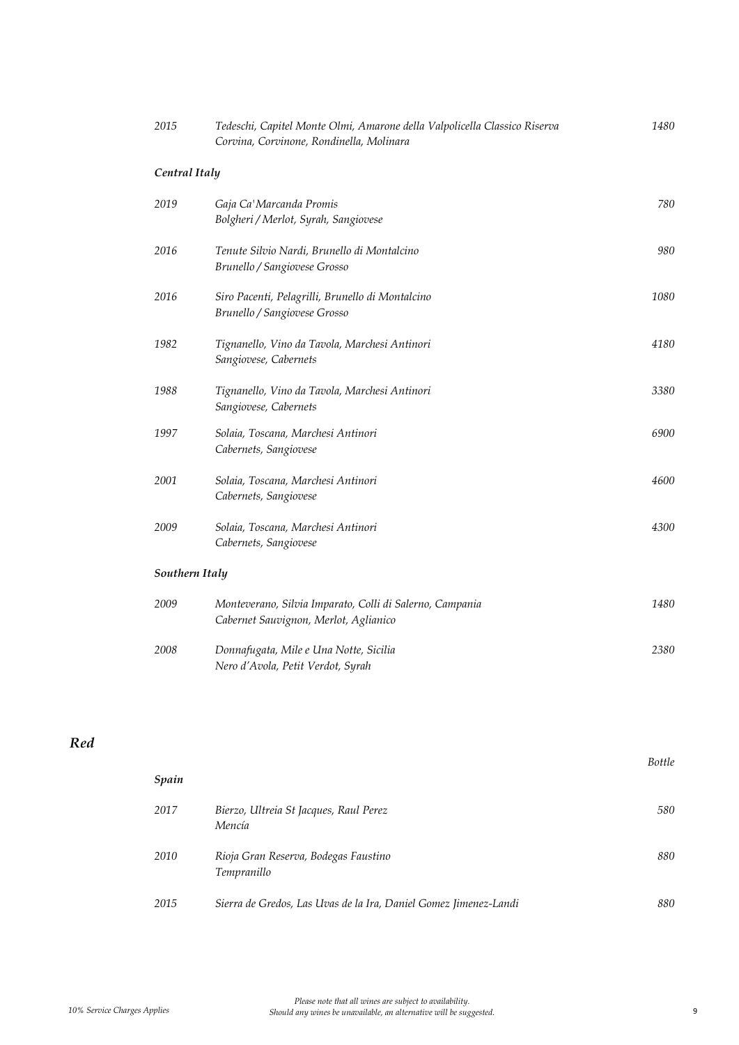| 2015           | Tedeschi, Capitel Monte Olmi, Amarone della Valpolicella Classico Riserva<br>Corvina, Corvinone, Rondinella, Molinara | 1480 |
|----------------|-----------------------------------------------------------------------------------------------------------------------|------|
| Central Italy  |                                                                                                                       |      |
| 2019           | Gaja Ca' Marcanda Promis<br>Bolgheri / Merlot, Syrah, Sangiovese                                                      | 780  |
| 2016           | Tenute Silvio Nardi, Brunello di Montalcino<br>Brunello / Sangiovese Grosso                                           | 980  |
| 2016           | Siro Pacenti, Pelagrilli, Brunello di Montalcino<br>Brunello / Sangiovese Grosso                                      | 1080 |
| 1982           | Tignanello, Vino da Tavola, Marchesi Antinori<br>Sangiovese, Cabernets                                                | 4180 |
| 1988           | Tignanello, Vino da Tavola, Marchesi Antinori<br>Sangiovese, Cabernets                                                | 3380 |
| 1997           | Solaia, Toscana, Marchesi Antinori<br>Cabernets, Sangiovese                                                           | 6900 |
| 2001           | Solaia, Toscana, Marchesi Antinori<br>Cabernets, Sangiovese                                                           | 4600 |
| 2009           | Solaia, Toscana, Marchesi Antinori<br>Cabernets, Sangiovese                                                           | 4300 |
| Southern Italy |                                                                                                                       |      |
| 2009           | Monteverano, Silvia Imparato, Colli di Salerno, Campania<br>Cabernet Sauvignon, Merlot, Aglianico                     | 1480 |
| 2008           | Donnafugata, Mile e Una Notte, Sicilia<br>Nero d'Avola, Petit Verdot, Syrah                                           | 2380 |

| Spain |                                                                  | <b>Bottle</b> |
|-------|------------------------------------------------------------------|---------------|
| 2017  | Bierzo, Ultreia St Jacques, Raul Perez<br>Mencía                 | 580           |
| 2010  | Rioja Gran Reserva, Bodegas Faustino<br><i>Tempranillo</i>       | 880           |
| 2015  | Sierra de Gredos, Las Uvas de la Ira, Daniel Gomez Jimenez-Landi | 880           |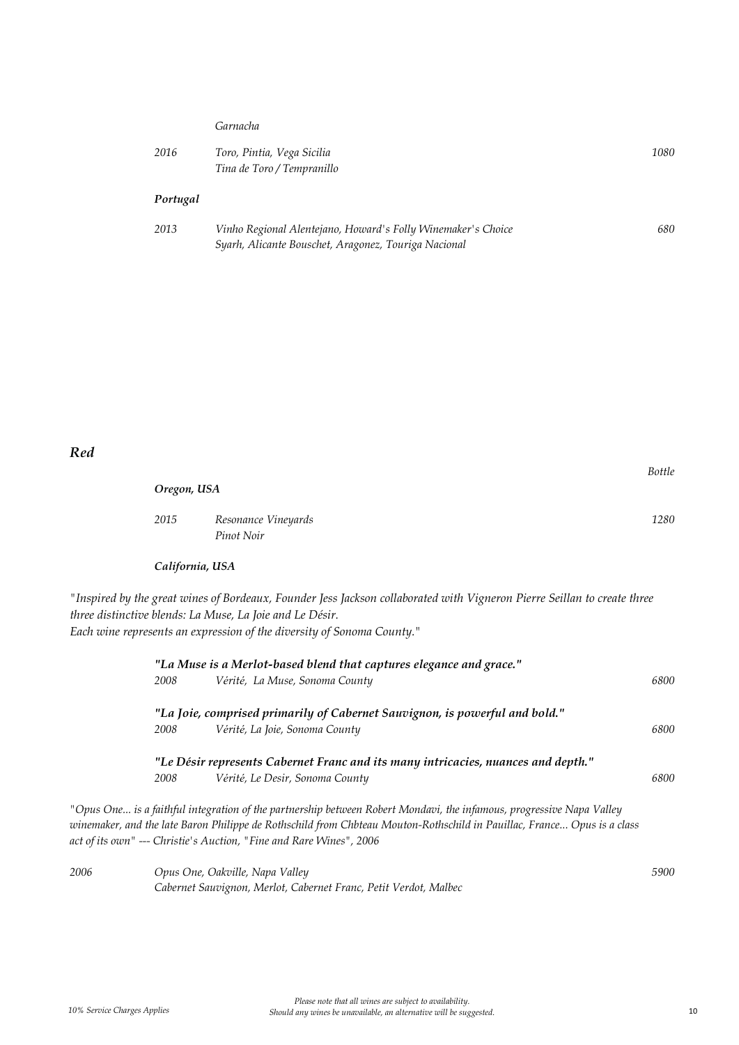#### *Garnacha*

| 2016 | Toro, Pintia, Vega Sicilia | 1080 |
|------|----------------------------|------|
|      | Tina de Toro / Tempranillo |      |
|      |                            |      |

## *Portugal*

| 2013 | Vinho Regional Alentejano, Howard's Folly Winemaker's Choice | 680 |
|------|--------------------------------------------------------------|-----|
|      | Syarh, Alicante Bouschet, Aragonez, Touriga Nacional         |     |

### *Red*

| Oregon, USA     |                                                                                                                          |      |
|-----------------|--------------------------------------------------------------------------------------------------------------------------|------|
| 2015            | Resonance Vineyards<br>Pinot Noir                                                                                        | 1280 |
| California, USA |                                                                                                                          |      |
|                 | "Inspired by the great wines of Bordeaux, Founder Jess Jackson collaborated with Vigneron Pierre Seillan to create three |      |

*three distinctive blends: La Muse, La Joie and Le Désir.*

*Each wine represents an expression of the diversity of Sonoma County."*

|      |      | "La Muse is a Merlot-based blend that captures elegance and grace."                                                                                                                                                                                                                                                    |      |
|------|------|------------------------------------------------------------------------------------------------------------------------------------------------------------------------------------------------------------------------------------------------------------------------------------------------------------------------|------|
|      | 2008 | Vérité, La Muse, Sonoma County                                                                                                                                                                                                                                                                                         | 6800 |
|      |      | "La Joie, comprised primarily of Cabernet Sauvignon, is powerful and bold."                                                                                                                                                                                                                                            |      |
|      | 2008 | Vérité, La Joie, Sonoma County                                                                                                                                                                                                                                                                                         | 6800 |
|      |      | "Le Désir represents Cabernet Franc and its many intricacies, nuances and depth."                                                                                                                                                                                                                                      |      |
|      | 2008 | Vérité, Le Desir, Sonoma County                                                                                                                                                                                                                                                                                        | 6800 |
|      |      | "Opus One is a faithful integration of the partnership between Robert Mondavi, the infamous, progressive Napa Valley<br>winemaker, and the late Baron Philippe de Rothschild from Chbteau Mouton-Rothschild in Pauillac, France Opus is a class<br>act of its own" --- Christie's Auction, "Fine and Rare Wines", 2006 |      |
| 2006 |      | Opus One, Oakville, Napa Valley                                                                                                                                                                                                                                                                                        | 5900 |
|      |      | Cabernet Sauvignon, Merlot, Cabernet Franc, Petit Verdot, Malbec                                                                                                                                                                                                                                                       |      |

*Bottle*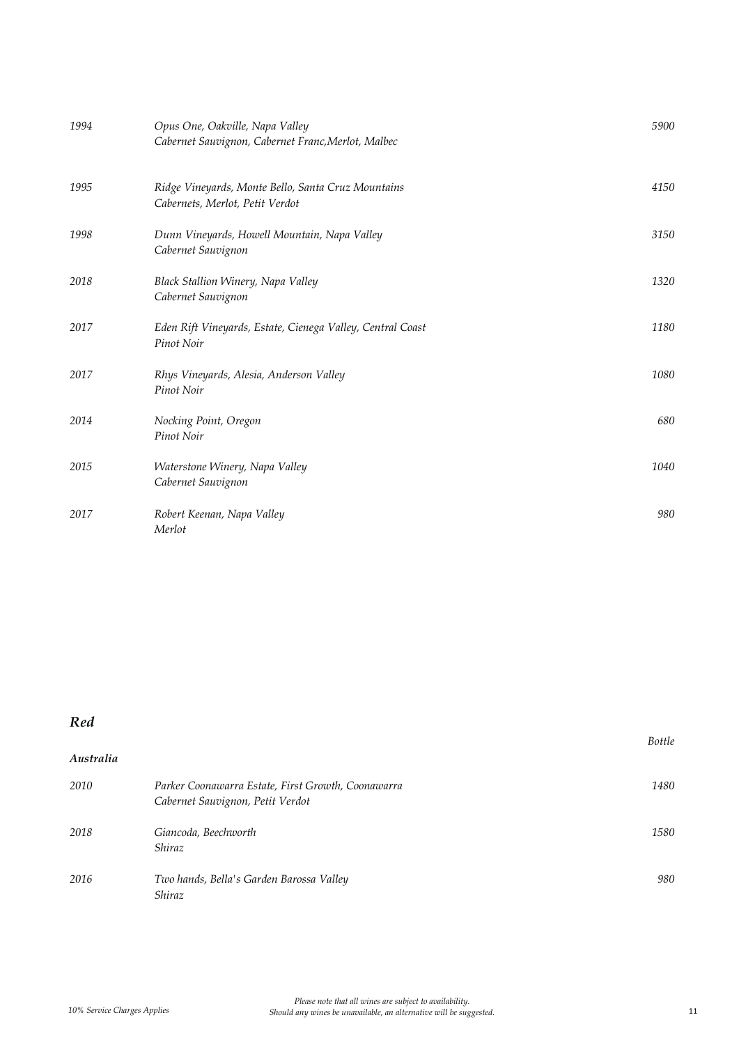| 1994 | Opus One, Oakville, Napa Valley<br>Cabernet Sauvignon, Cabernet Franc, Merlot, Malbec | 5900 |
|------|---------------------------------------------------------------------------------------|------|
| 1995 | Ridge Vineyards, Monte Bello, Santa Cruz Mountains<br>Cabernets, Merlot, Petit Verdot | 4150 |
| 1998 | Dunn Vineyards, Howell Mountain, Napa Valley<br>Cabernet Sauvignon                    | 3150 |
| 2018 | Black Stallion Winery, Napa Valley<br>Cabernet Sauvignon                              | 1320 |
| 2017 | Eden Rift Vineyards, Estate, Cienega Valley, Central Coast<br>Pinot Noir              | 1180 |
| 2017 | Rhys Vineyards, Alesia, Anderson Valley<br>Pinot Noir                                 | 1080 |
| 2014 | Nocking Point, Oregon<br>Pinot Noir                                                   | 680  |
| 2015 | Waterstone Winery, Napa Valley<br>Cabernet Sauvignon                                  | 1040 |
| 2017 | Robert Keenan, Napa Valley<br>Merlot                                                  | 980  |

| Australia |                                                                                        |      |
|-----------|----------------------------------------------------------------------------------------|------|
| 2010      | Parker Coonawarra Estate, First Growth, Coonawarra<br>Cabernet Sauvignon, Petit Verdot | 1480 |
| 2018      | Giancoda, Beechworth<br><i>Shiraz</i>                                                  | 1580 |
| 2016      | Two hands, Bella's Garden Barossa Valley<br>Shiraz                                     | 980  |

*Bottle*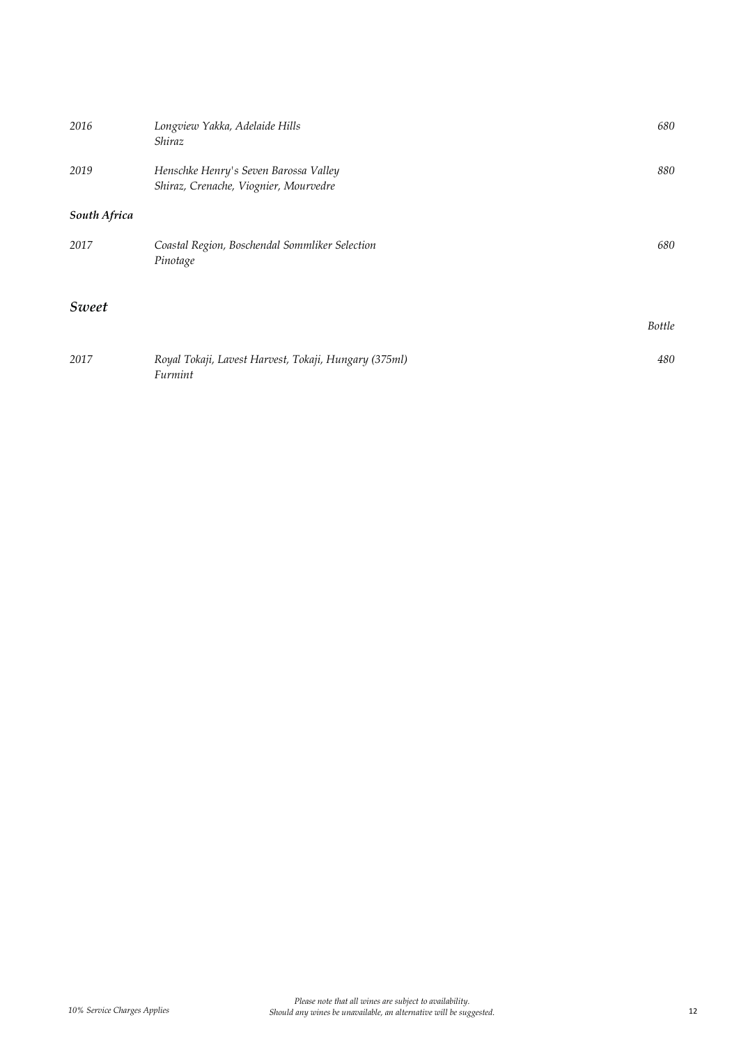| 2016         | Longview Yakka, Adelaide Hills<br>Shiraz                                       | 680           |
|--------------|--------------------------------------------------------------------------------|---------------|
| 2019         | Henschke Henry's Seven Barossa Valley<br>Shiraz, Crenache, Viognier, Mourvedre | 880           |
| South Africa |                                                                                |               |
| 2017         | Coastal Region, Boschendal Sommliker Selection<br>Pinotage                     | 680           |
| Sweet        |                                                                                |               |
|              |                                                                                | <b>Bottle</b> |
| 2017         | Royal Tokaji, Lavest Harvest, Tokaji, Hungary (375ml)<br>Furmint               | 480           |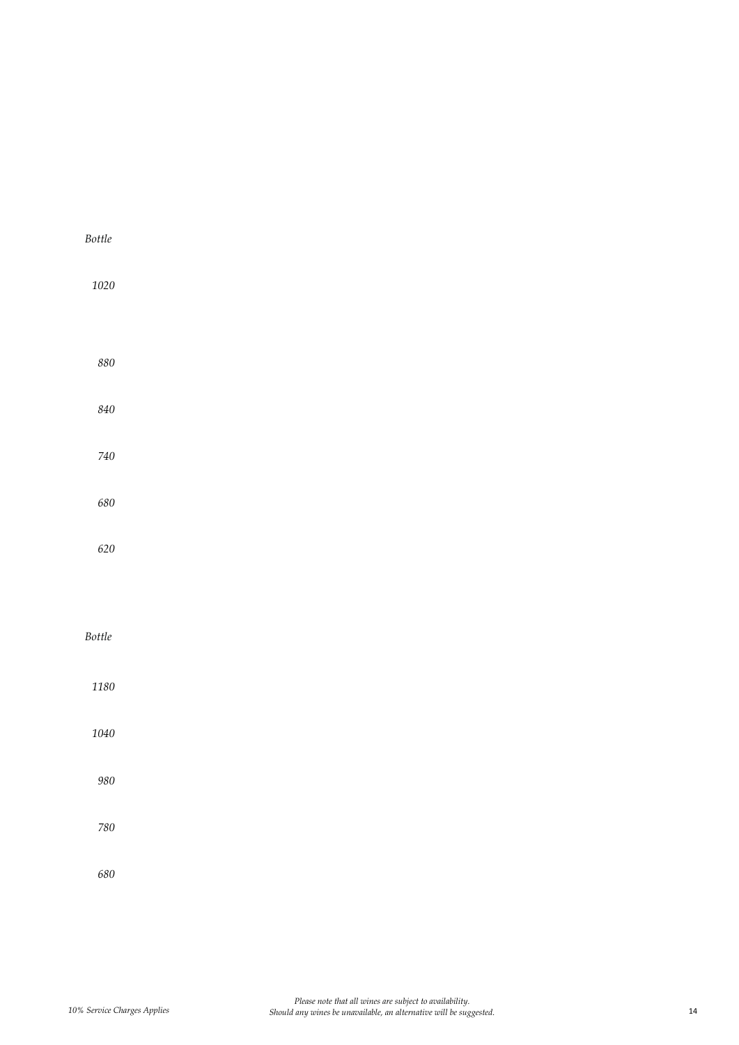| Bottle   |  |  |
|----------|--|--|
| $1020\,$ |  |  |
|          |  |  |
| $880\,$  |  |  |
| $840\,$  |  |  |
| $740\,$  |  |  |
| $680\,$  |  |  |
| $620\,$  |  |  |
|          |  |  |
| Bottle   |  |  |
| $1180\,$ |  |  |
| $1040\,$ |  |  |
| 980      |  |  |
| $780\,$  |  |  |
| 680      |  |  |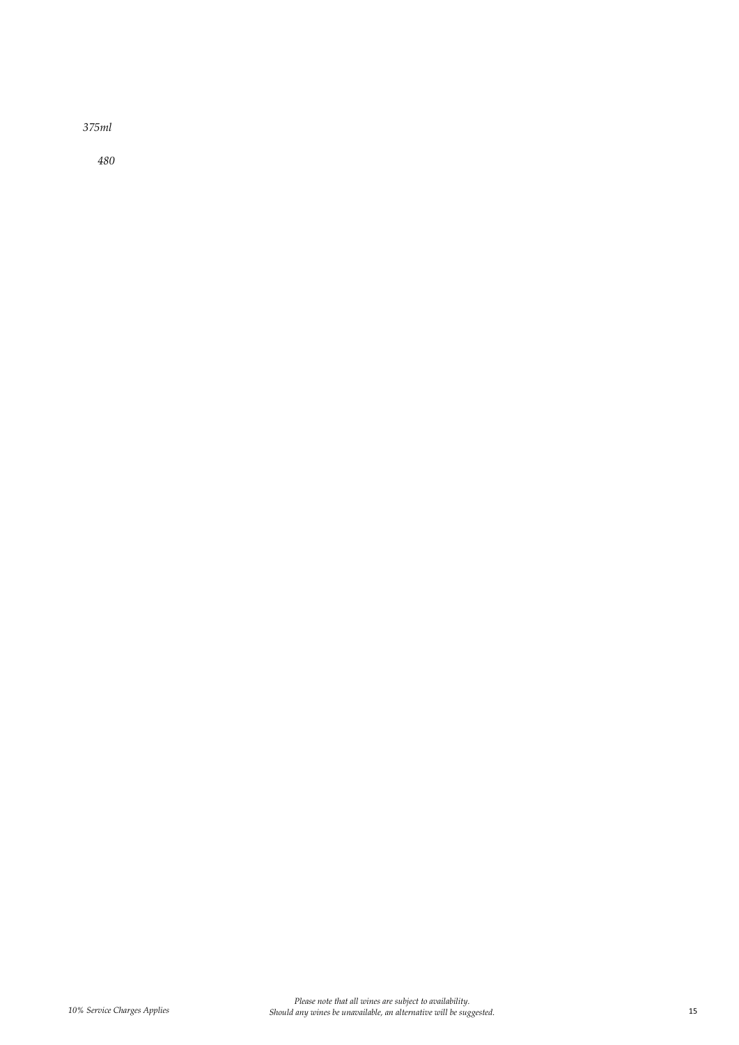*375ml* 

*480*